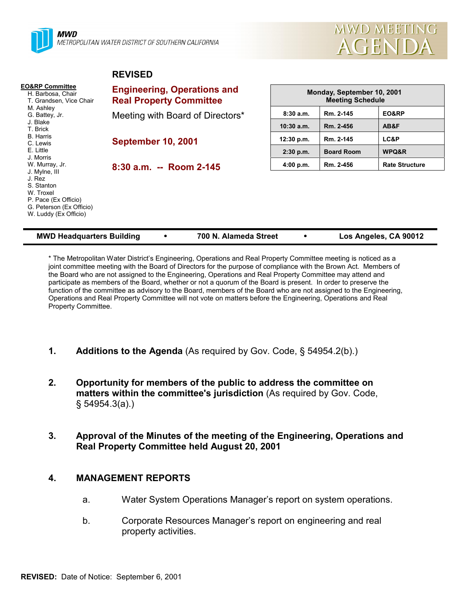



#### **REVISED**

| <b>EO&amp;RP Committee</b><br>H. Barbosa, Chair<br>T. Grandsen, Vice Chair                                                                                     | <b>Engineering, Operations and</b><br><b>Real Property Committee</b> | Monday, September 10, 2001<br><b>Meeting Schedule</b> |                   |                       |  |
|----------------------------------------------------------------------------------------------------------------------------------------------------------------|----------------------------------------------------------------------|-------------------------------------------------------|-------------------|-----------------------|--|
| M. Ashley<br>G. Battey, Jr.                                                                                                                                    | Meeting with Board of Directors*                                     | 8:30a.m.                                              | Rm. 2-145         | EO&RP                 |  |
| J. Blake<br>T. Brick                                                                                                                                           |                                                                      | $10:30$ a.m.                                          | Rm. 2-456         | AB&F                  |  |
| <b>B.</b> Harris<br>C. Lewis                                                                                                                                   | <b>September 10, 2001</b>                                            | 12:30 p.m.                                            | Rm. 2-145         | LC&P                  |  |
| E. Little                                                                                                                                                      |                                                                      | $2:30$ p.m.                                           | <b>Board Room</b> | WPQ&R                 |  |
| J. Morris<br>W. Murray, Jr.<br>J. Mylne, III<br>J. Rez<br>S. Stanton<br>W. Troxel<br>P. Pace (Ex Officio)<br>G. Peterson (Ex Officio)<br>W. Luddy (Ex Officio) | $8:30$ a.m. -- Room 2-145                                            | 4:00 p.m.                                             | Rm. 2-456         | <b>Rate Structure</b> |  |

| <b>MWD Headquarters Building</b> |  | 700 N. Alameda Street |  | Los Angeles, CA 90012 |
|----------------------------------|--|-----------------------|--|-----------------------|
|----------------------------------|--|-----------------------|--|-----------------------|

\* The Metropolitan Water Districtís Engineering, Operations and Real Property Committee meeting is noticed as a joint committee meeting with the Board of Directors for the purpose of compliance with the Brown Act. Members of the Board who are not assigned to the Engineering, Operations and Real Property Committee may attend and participate as members of the Board, whether or not a quorum of the Board is present. In order to preserve the function of the committee as advisory to the Board, members of the Board who are not assigned to the Engineering, Operations and Real Property Committee will not vote on matters before the Engineering, Operations and Real Property Committee.

- **1.** Additions to the Agenda (As required by Gov. Code, § 54954.2(b).)
- **2. Opportunity for members of the public to address the committee on matters within the committee's jurisdiction** (As required by Gov. Code, ß 54954.3(a).)
- **3. Approval of the Minutes of the meeting of the Engineering, Operations and Real Property Committee held August 20, 2001**

#### **4. MANAGEMENT REPORTS**

- a. Water System Operations Manager's report on system operations.
- b. Corporate Resources Managerís report on engineering and real property activities.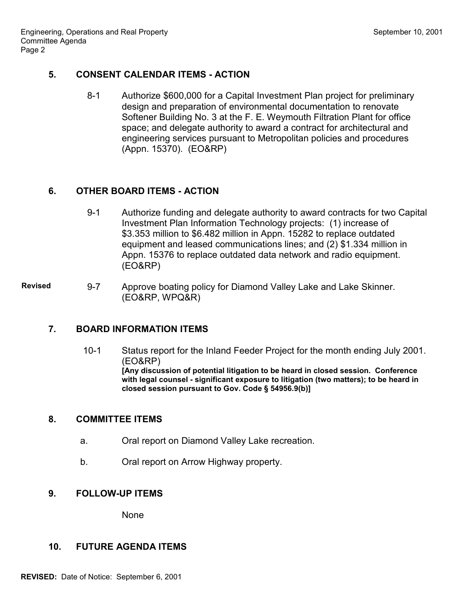#### **5. CONSENT CALENDAR ITEMS - ACTION**

8-1 Authorize \$600,000 for a Capital Investment Plan project for preliminary design and preparation of environmental documentation to renovate Softener Building No. 3 at the F. E. Weymouth Filtration Plant for office space; and delegate authority to award a contract for architectural and engineering services pursuant to Metropolitan policies and procedures (Appn. 15370). (EO&RP)

# **6. OTHER BOARD ITEMS - ACTION**

9-1 Authorize funding and delegate authority to award contracts for two Capital Investment Plan Information Technology projects: (1) increase of \$3.353 million to \$6.482 million in Appn. 15282 to replace outdated equipment and leased communications lines; and (2) \$1.334 million in Appn. 15376 to replace outdated data network and radio equipment. (EO&RP)

Revised 9-7 Approve boating policy for Diamond Valley Lake and Lake Skinner. (EO&RP, WPQ&R)

### **7. BOARD INFORMATION ITEMS**

10-1 Status report for the Inland Feeder Project for the month ending July 2001. (EO&RP) **[Any discussion of potential litigation to be heard in closed session. Conference with legal counsel - significant exposure to litigation (two matters); to be heard in closed session pursuant to Gov. Code ß 54956.9(b)]**

### **8. COMMITTEE ITEMS**

- a. Oral report on Diamond Valley Lake recreation.
- b. Oral report on Arrow Highway property.

### **9. FOLLOW-UP ITEMS**

None

### **10. FUTURE AGENDA ITEMS**